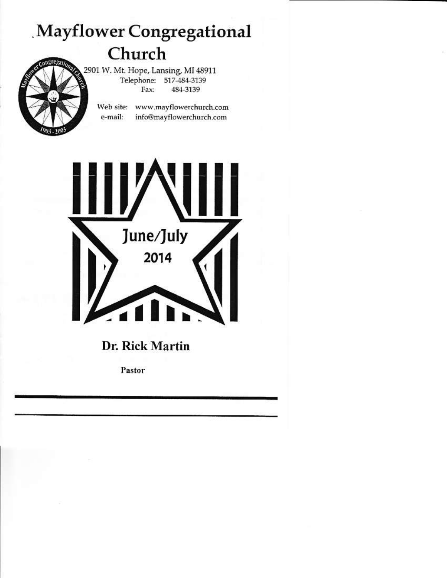# Mayflower Congregational Church

2901 W. Mt. Hope, Lansing, MI 48911 Telephone: 517-484-3139 Fax: 484-3139

Web site: www.mayflowerchurch.com e-mail: info@mayflowerchurch.com



Dr. Rick Martin

Pastor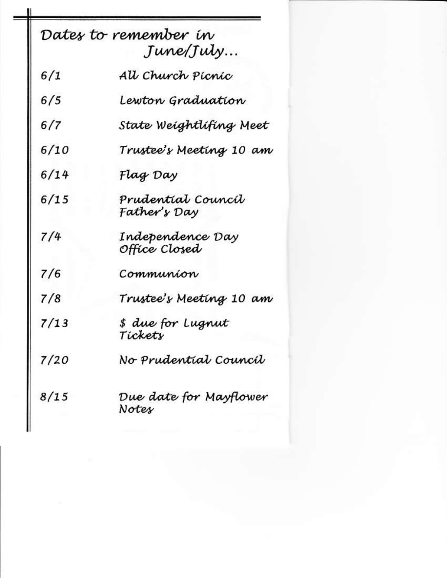| Dates to remember in<br>June/July |                                    |  |  |
|-----------------------------------|------------------------------------|--|--|
| 6/1                               | All Church Pícníc                  |  |  |
| 6/5                               | Lewton Graduation                  |  |  |
| 6/7                               | State Weightlifing Meet            |  |  |
| 6/10                              | Trustee's Meeting 10 am            |  |  |
| 6/14                              | Flag Day                           |  |  |
| 6/15                              | Prudentíal Councíl<br>Father's Day |  |  |
| 7/4                               | Independence Day<br>Office Closed  |  |  |
| 7/6                               | Communion                          |  |  |
| 7/8                               | Trustee's Meeting 10 am            |  |  |
| 7/13                              | \$ due for Lugnut<br>Tickets       |  |  |
| 7/20                              | No Prudential Council              |  |  |
| 8/15                              | Due date for Mayflower<br>Notes    |  |  |

н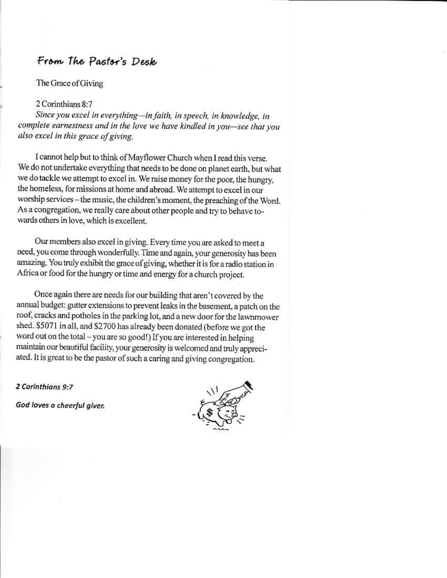### From The Pastor's Desk

The Grace of Giving

2 Corinthians 8:7

Since you excel in everything-in faith, in speech, in knowledge, in complete earnestness and in the love we have kindled in you-see that you also excel in this grace of giving.

I cannot help but to think of Mayflower Church when I read this verse. We do not undertake everything that needs to be done on planet earth, but what we do tackle we attempt to excel in. We raise money for the poor, the hungry, the homeless, for missions at home and abroad. We attempt to excel in our worship services - the music, the children's moment, the preaching of the Word. As a congregation, we really care about other people and try to behave towards others in love, which is excellent.

Our members also excel in giving. Every time you are asked to meet a need, you come through wonderfully. Time and again, your generosity has been amazing. You truly exhibit the grace of giving, whether it is for a radio station in Africa or food for the hungry or time and energy for a church project.

Once again there are needs for our building that aren't covered by the annual budget: gutter extensions to prevent leaks in the basement, a patch on the roof, cracks and potholes in the parking lot, and a new door for the lawnmower shed. \$5071 in all, and \$2700 has already been donated (before we got the word out on the total - you are so good!) If you are interested in helping maintain our beautiful facility, your generosity is welcomed and truly appreciated. It is great to be the pastor of such a caring and giving congregation.

2 Corinthians 9:7

God loves a cheerful giver.

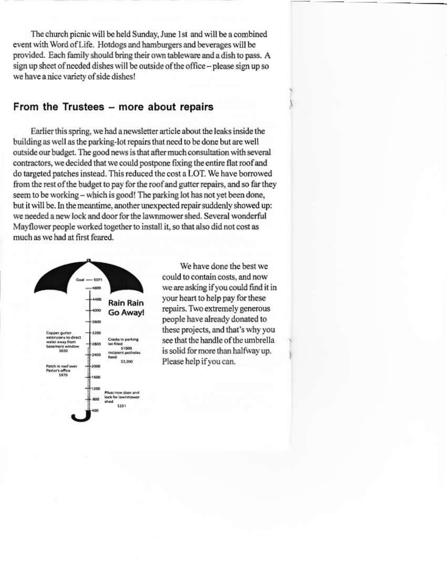The church picnic will be held Sunday, June 1st and will be a combined event with Word of Life. Hotdogs and hamburgers and beverages will be provided. Each family should bring their own tableware and a dish to pass. A sign up sheet of needed dishes will be outside of the office - please sign up so we have a nice variety of side dishes!

### From the Trustees - more about repairs

Earlier this spring, we had a newsletter article about the leaks inside the building as well as the parking-lot repairs that need to be done but are well outside our budget. The good news is that after much consultation with several contractors, we decided that we could postpone fixing the entire flat roof and do targeted patches instead. This reduced the cost a LOT. We have borrowed from the rest of the budget to pay for the roof and gutter repairs, and so far they seem to be working - which is good! The parking lot has not yet been done, but it will be. In the meantime, another unexpected repair suddenly showed up: we needed a new lock and door for the lawnmower shed. Several wonderful Mayflower people worked together to install it, so that also did not cost as much as we had at first feared.



We have done the best we could to contain costs, and now we are asking if you could find it in your heart to help pay for these repairs. Two extremely generous people have already donated to these projects, and that's why you see that the handle of the umbrella is solid for more than halfway up. Please help if you can.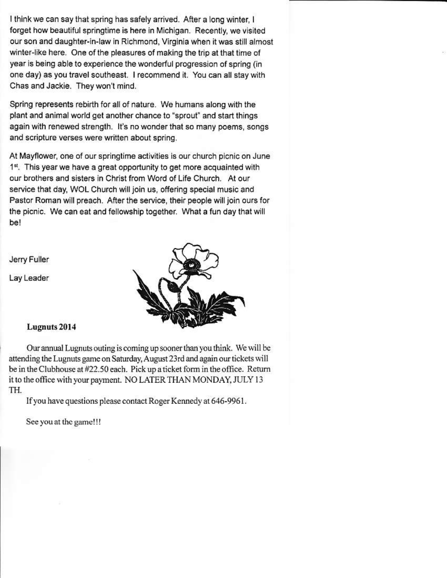I think we can say that spring has safely arrived. After a long winter, I forget how beautiful springtime is here in Michigan. Recently, we visited our son and daughter-in-law in Richmond, Virginia when it was still almost winter-like here. One of the pleasures of making the trip at that time of year is being able to experience the wonderful progression of spring (in one day) as you travel southeast. I recommend it. You can all stay with Chas and Jackie. They won't mind.

Spring represents rebirth for all of nature. We humans along with the plant and animal world get another chance to "sprout" and start things again with renewed strength. It's no wonder that so many poems, songs and scripture verses were written about spring.

At Mayflower, one of our springtime activities is our church picnic on June 1<sup>st</sup>. This year we have a great opportunity to get more acquainted with our brothers and sisters in Christ from Word of Life Church. At our service that day, WOL Church will join us, offering special music and Pastor Roman will preach. After the service, their people will join ours for the picnic. We can eat and fellowship together. What a fun day that will be!

Jerry Fuller

Lay Leader



#### Lugnuts 2014

Our annual Lugnuts outing is coming up sooner than you think. We will be attending the Lugnuts game on Saturday, August 23rd and again our tickets will be in the Clubhouse at #22.50 each. Pick up a ticket form in the office. Return it to the office with your payment. NO LATER THAN MONDAY, JULY 13 TH.

If you have questions please contact Roger Kennedy at 646-9961.

See you at the game!!!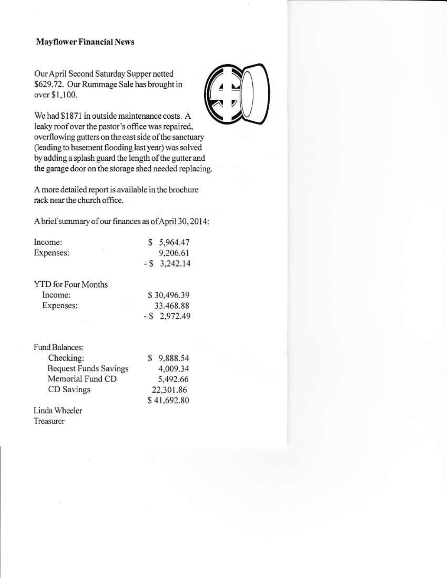#### **Mayflower Financial News**

Our April Second Saturday Supper netted \$629.72. Our Rummage Sale has brought in over \$1,100.

We had \$1871 in outside maintenance costs. A leaky roof over the pastor's office was repaired, overflowing gutters on the east side of the sanctuary (leading to basement flooding last year) was solved by adding a splash guard the length of the gutter and the garage door on the storage shed needed replacing.

A more detailed report is available in the brochure rack near the church office.

A brief summary of our finances as of April 30, 2014:

| Income:                      | S           | 5,964.47        |
|------------------------------|-------------|-----------------|
| Expenses:                    |             | 9,206.61        |
|                              |             | $-$ \$ 3,242.14 |
| <b>YTD</b> for Four Months   |             |                 |
| Income:                      | \$30,496.39 |                 |
| Expenses:                    | 33.468.88   |                 |
|                              |             | $-$ \$ 2,972.49 |
| <b>Fund Balances:</b>        |             |                 |
| Checking:                    |             | \$9,888.54      |
| <b>Bequest Funds Savings</b> |             | 4,009.34        |
| Memorial Fund CD             |             | 5,492.66        |
| CD Savings                   | 22,301.86   |                 |
|                              |             | \$41,692.80     |
| Linda Wheeler                |             |                 |
| Treasurer                    |             |                 |
|                              |             |                 |